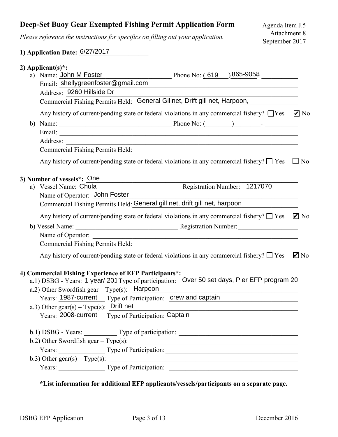## **Deep-Set Buoy Gear Exempted Fishing Permit Application Form**

*Please reference the instructions for specifics on filling out your application.*

## **1) Application Date: 6/27/2017**

|    | 2) Applicant(s)*:                                                                                                                         |
|----|-------------------------------------------------------------------------------------------------------------------------------------------|
|    | Phone No: $(619)$ 865-9058<br>a) Name: John M Foster                                                                                      |
|    | Email: shellygreenfoster@gmail.com                                                                                                        |
|    | Address: 9260 Hillside Dr                                                                                                                 |
|    | Commercial Fishing Permits Held: General Gillnet, Drift gill net, Harpoon,                                                                |
|    | Any history of current/pending state or federal violations in any commercial fishery? $\Box$ Yes $\Box$ No                                |
| b) |                                                                                                                                           |
|    |                                                                                                                                           |
|    |                                                                                                                                           |
|    | Commercial Fishing Permits Held: Manual Account of the Commercial Assembly Permits Held:                                                  |
|    | Any history of current/pending state or federal violations in any commercial fishery? $\square$ Yes<br>$\Box$ No                          |
|    | 3) Number of vessels*: One                                                                                                                |
|    | Registration Number: 1217070<br>a) Vessel Name: Chula                                                                                     |
|    | Name of Operator: John Foster                                                                                                             |
|    | Commercial Fishing Permits Held: General gill net, drift gill net, harpoon                                                                |
|    | Any history of current/pending state or federal violations in any commercial fishery? $\Box$ Yes $\Box$ No                                |
|    |                                                                                                                                           |
|    | Name of Operator:<br><u> 1989 - Johann John Stone, mars et al. 1989 - John Stone, mars et al. 1989 - John Stone, mars et al. 1989 - J</u> |
|    |                                                                                                                                           |
|    | Any history of current/pending state or federal violations in any commercial fishery? $\Box$ Yes<br>$\blacksquare$ No                     |
|    | 4) Commercial Fishing Experience of EFP Participants*:                                                                                    |
|    | a.1) DSBG - Years: 1 year/ 201 Type of participation: Over 50 set days, Pier EFP program 20                                               |
|    | a.2) Other Swordfish gear $-$ Type(s): Harpoon                                                                                            |
|    | Years: 1987-current Type of Participation: crew and captain                                                                               |
|    | a.3) Other gear(s) – Type(s): Drift net                                                                                                   |
|    | Years: 2008-current Type of Participation: Captain                                                                                        |
|    | b.1) DSBG - Years: _____________ Type of participation: _________________________                                                         |
|    |                                                                                                                                           |
|    |                                                                                                                                           |
|    | b.3) Other gear(s) – Type(s): $\qquad \qquad$                                                                                             |
|    | Years: Type of Participation:                                                                                                             |
|    |                                                                                                                                           |

## **\*List information for additional EFP applicants/vessels/participants on a separate page.**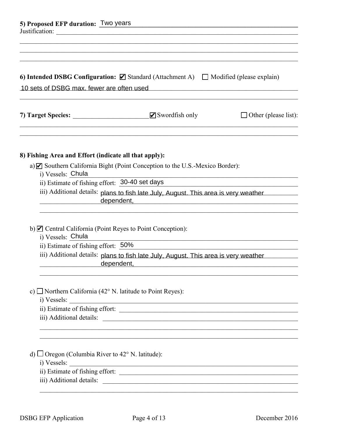| 5) Proposed EFP duration: Two years<br>6) Intended DSBG Configuration: $\boxtimes$ Standard (Attachment A) $\Box$ Modified (please explain)<br>10 sets of DSBG max, fewer are often used |                                                                                                                                                                                                                                                                                                                       |                                                               |  |
|------------------------------------------------------------------------------------------------------------------------------------------------------------------------------------------|-----------------------------------------------------------------------------------------------------------------------------------------------------------------------------------------------------------------------------------------------------------------------------------------------------------------------|---------------------------------------------------------------|--|
|                                                                                                                                                                                          |                                                                                                                                                                                                                                                                                                                       |                                                               |  |
| 8) Fishing Area and Effort (indicate all that apply):                                                                                                                                    |                                                                                                                                                                                                                                                                                                                       |                                                               |  |
|                                                                                                                                                                                          | a) $\blacksquare$ Southern California Bight (Point Conception to the U.S.-Mexico Border):                                                                                                                                                                                                                             |                                                               |  |
| i) Vessels: Chula<br>ii) Estimate of fishing effort: 30-40 set days                                                                                                                      |                                                                                                                                                                                                                                                                                                                       | <u> 1989 - Paris Amerikaanse konstantinoplering (h. 1989)</u> |  |
|                                                                                                                                                                                          | iii) Additional details: plans to fish late July, August. This area is very weather<br>dependent, etc. and a series of the series of the series of the series of the series of the series of the series of the series of the series of the series of the series of the series of the series of the series of the seri |                                                               |  |
| b) $\blacksquare$ Central California (Point Reyes to Point Conception):<br>i) Vessels: Chula<br>ii) Estimate of fishing effort: $50\%$                                                   |                                                                                                                                                                                                                                                                                                                       |                                                               |  |
|                                                                                                                                                                                          | iii) Additional details: plans to fish late July, August. This area is very weather<br>dependent, etc. and a series of the series of the series of the series of the series of the series of the series of the series of the series of the series of the series of the series of the series of the series of the seri |                                                               |  |
| c) $\Box$ Northern California (42° N. latitude to Point Reyes):                                                                                                                          | i) Vessels:                                                                                                                                                                                                                                                                                                           |                                                               |  |
|                                                                                                                                                                                          |                                                                                                                                                                                                                                                                                                                       |                                                               |  |
| d) $\Box$ Oregon (Columbia River to 42° N. latitude):                                                                                                                                    |                                                                                                                                                                                                                                                                                                                       |                                                               |  |
| i) Vessels:                                                                                                                                                                              |                                                                                                                                                                                                                                                                                                                       |                                                               |  |
|                                                                                                                                                                                          |                                                                                                                                                                                                                                                                                                                       |                                                               |  |
|                                                                                                                                                                                          |                                                                                                                                                                                                                                                                                                                       |                                                               |  |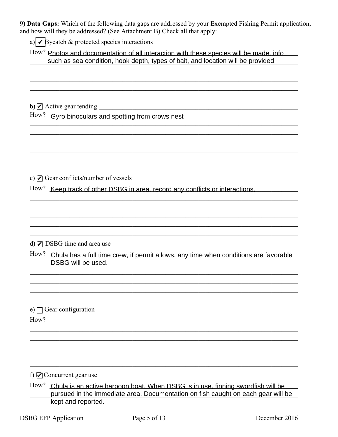9) Data Gaps: Which of the following data gaps are addressed by your Exempted Fishing Permit application, and how will they be addressed? (See Attachment B) Check all that apply:

a)  $\triangleright$  Bycatch & protected species interactions

How? Photos and documentation of all interaction with these species will be made, info such as sea condition, hook depth, types of bait, and location will be provided

How? Gyro binoculars and spotting from crows nest

c)  $\blacksquare$  Gear conflicts/number of vessels

How? Keep track of other DSBG in area, record any conflicts or interactions,

 $d)$   $\triangleright$  DSBG time and area use

How? Chula has a full time crew, if permit allows, any time when conditions are favorable DSBG will be used.

e)  $\bigcap$  Gear configuration How?

f)  $\blacksquare$  Concurrent gear use

How? Chula is an active harpoon boat, When DSBG is in use, finning swordfish will be pursued in the immediate area. Documentation on fish caught on each gear will be kept and reported.